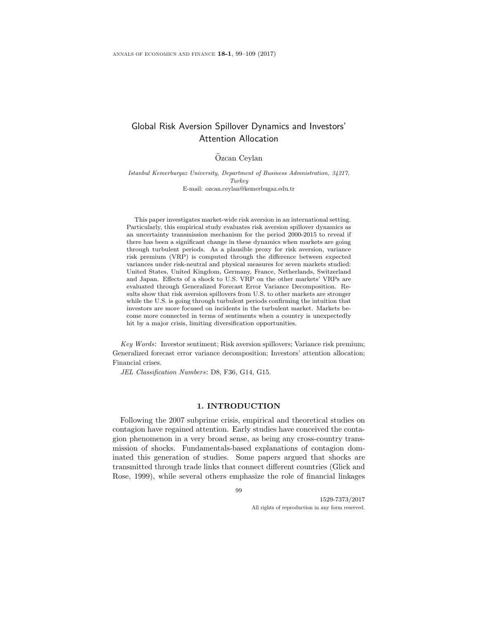# Global Risk Aversion Spillover Dynamics and Investors' Attention Allocation

# Ozcan Ceylan ¨

Istanbul Kemerburgaz University, Department of Business Admnistration, 34217, Turkey E-mail: ozcan.ceylan@kemerbugaz.edu.tr

This paper investigates market-wide risk aversion in an international setting. Particularly, this empirical study evaluates risk aversion spillover dynamics as an uncertainty transmission mechanism for the period 2000-2015 to reveal if there has been a significant change in these dynamics when markets are going through turbulent periods. As a plausible proxy for risk aversion, variance risk premium (VRP) is computed through the difference between expected variances under risk-neutral and physical measures for seven markets studied: United States, United Kingdom, Germany, France, Netherlands, Switzerland and Japan. Effects of a shock to U.S. VRP on the other markets' VRPs are evaluated through Generalized Forecast Error Variance Decomposition. Results show that risk aversion spillovers from U.S. to other markets are stronger while the U.S. is going through turbulent periods confirming the intuition that investors are more focused on incidents in the turbulent market. Markets become more connected in terms of sentiments when a country is unexpectedly hit by a major crisis, limiting diversification opportunities.

Key Words: Investor sentiment; Risk aversion spillovers; Variance risk premium; Generalized forecast error variance decomposition; Investors' attention allocation; Financial crises.

JEL Classification Numbers: D8, F36, G14, G15.

### 1. INTRODUCTION

Following the 2007 subprime crisis, empirical and theoretical studies on contagion have regained attention. Early studies have conceived the contagion phenomenon in a very broad sense, as being any cross-country transmission of shocks. Fundamentals-based explanations of contagion dominated this generation of studies. Some papers argued that shocks are transmitted through trade links that connect different countries (Glick and Rose, 1999), while several others emphasize the role of financial linkages

99

1529-7373/2017 All rights of reproduction in any form reserved.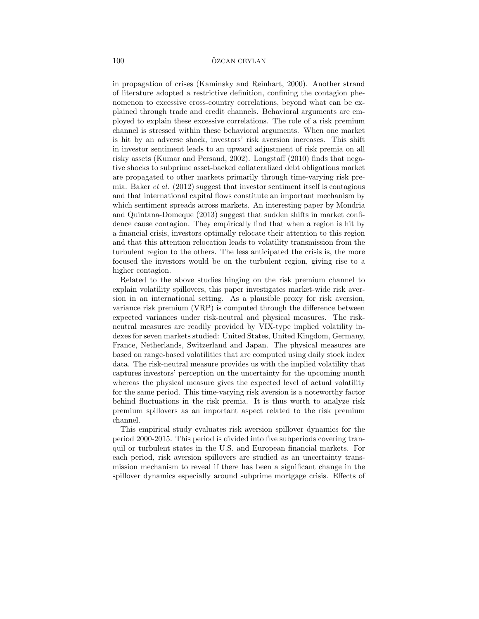in propagation of crises (Kaminsky and Reinhart, 2000). Another strand of literature adopted a restrictive definition, confining the contagion phenomenon to excessive cross-country correlations, beyond what can be explained through trade and credit channels. Behavioral arguments are employed to explain these excessive correlations. The role of a risk premium channel is stressed within these behavioral arguments. When one market is hit by an adverse shock, investors' risk aversion increases. This shift in investor sentiment leads to an upward adjustment of risk premia on all risky assets (Kumar and Persaud, 2002). Longstaff (2010) finds that negative shocks to subprime asset-backed collateralized debt obligations market are propagated to other markets primarily through time-varying risk premia. Baker et al. (2012) suggest that investor sentiment itself is contagious and that international capital flows constitute an important mechanism by which sentiment spreads across markets. An interesting paper by Mondria and Quintana-Domeque (2013) suggest that sudden shifts in market confidence cause contagion. They empirically find that when a region is hit by a financial crisis, investors optimally relocate their attention to this region and that this attention relocation leads to volatility transmission from the turbulent region to the others. The less anticipated the crisis is, the more focused the investors would be on the turbulent region, giving rise to a higher contagion.

Related to the above studies hinging on the risk premium channel to explain volatility spillovers, this paper investigates market-wide risk aversion in an international setting. As a plausible proxy for risk aversion, variance risk premium (VRP) is computed through the difference between expected variances under risk-neutral and physical measures. The riskneutral measures are readily provided by VIX-type implied volatility indexes for seven markets studied: United States, United Kingdom, Germany, France, Netherlands, Switzerland and Japan. The physical measures are based on range-based volatilities that are computed using daily stock index data. The risk-neutral measure provides us with the implied volatility that captures investors' perception on the uncertainty for the upcoming month whereas the physical measure gives the expected level of actual volatility for the same period. This time-varying risk aversion is a noteworthy factor behind fluctuations in the risk premia. It is thus worth to analyze risk premium spillovers as an important aspect related to the risk premium channel.

This empirical study evaluates risk aversion spillover dynamics for the period 2000-2015. This period is divided into five subperiods covering tranquil or turbulent states in the U.S. and European financial markets. For each period, risk aversion spillovers are studied as an uncertainty transmission mechanism to reveal if there has been a significant change in the spillover dynamics especially around subprime mortgage crisis. Effects of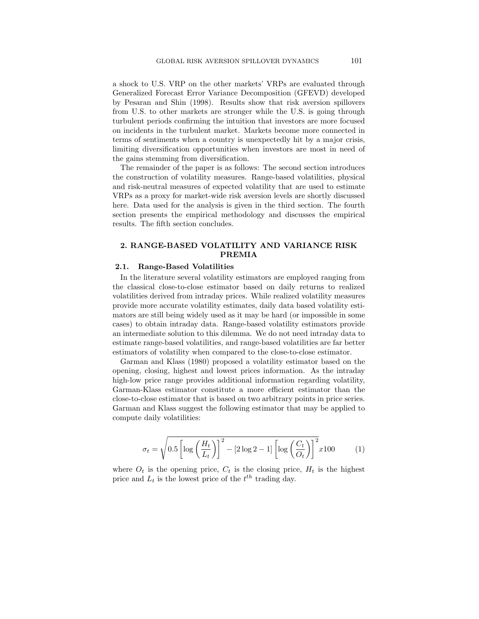a shock to U.S. VRP on the other markets' VRPs are evaluated through Generalized Forecast Error Variance Decomposition (GFEVD) developed by Pesaran and Shin (1998). Results show that risk aversion spillovers from U.S. to other markets are stronger while the U.S. is going through turbulent periods confirming the intuition that investors are more focused on incidents in the turbulent market. Markets become more connected in terms of sentiments when a country is unexpectedly hit by a major crisis, limiting diversification opportunities when investors are most in need of the gains stemming from diversification.

The remainder of the paper is as follows: The second section introduces the construction of volatility measures. Range-based volatilities, physical and risk-neutral measures of expected volatility that are used to estimate VRPs as a proxy for market-wide risk aversion levels are shortly discussed here. Data used for the analysis is given in the third section. The fourth section presents the empirical methodology and discusses the empirical results. The fifth section concludes.

# 2. RANGE-BASED VOLATILITY AND VARIANCE RISK PREMIA

### 2.1. Range-Based Volatilities

In the literature several volatility estimators are employed ranging from the classical close-to-close estimator based on daily returns to realized volatilities derived from intraday prices. While realized volatility measures provide more accurate volatility estimates, daily data based volatility estimators are still being widely used as it may be hard (or impossible in some cases) to obtain intraday data. Range-based volatility estimators provide an intermediate solution to this dilemma. We do not need intraday data to estimate range-based volatilities, and range-based volatilities are far better estimators of volatility when compared to the close-to-close estimator.

Garman and Klass (1980) proposed a volatility estimator based on the opening, closing, highest and lowest prices information. As the intraday high-low price range provides additional information regarding volatility, Garman-Klass estimator constitute a more efficient estimator than the close-to-close estimator that is based on two arbitrary points in price series. Garman and Klass suggest the following estimator that may be applied to compute daily volatilities:

$$
\sigma_t = \sqrt{0.5 \left[ \log \left( \frac{H_t}{L_t} \right) \right]^2 - \left[ 2 \log 2 - 1 \right] \left[ \log \left( \frac{C_t}{O_t} \right) \right]^2} x 100 \tag{1}
$$

where  $O_t$  is the opening price,  $C_t$  is the closing price,  $H_t$  is the highest price and  $L_t$  is the lowest price of the  $t^{th}$  trading day.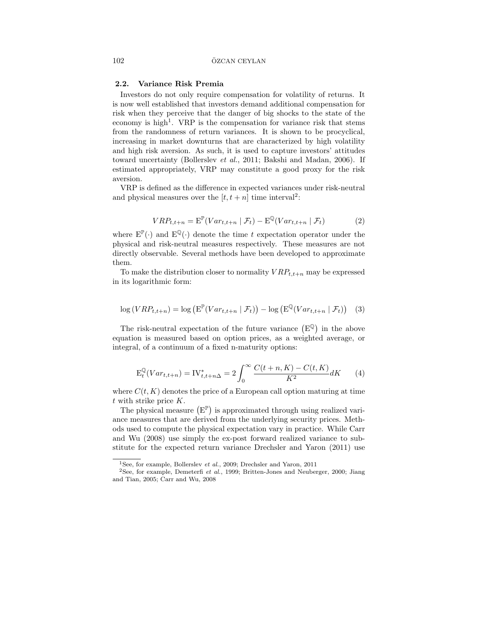### 2.2. Variance Risk Premia

Investors do not only require compensation for volatility of returns. It is now well established that investors demand additional compensation for risk when they perceive that the danger of big shocks to the state of the economy is high<sup>1</sup>. VRP is the compensation for variance risk that stems from the randomness of return variances. It is shown to be procyclical, increasing in market downturns that are characterized by high volatility and high risk aversion. As such, it is used to capture investors' attitudes toward uncertainty (Bollerslev et al., 2011; Bakshi and Madan, 2006). If estimated appropriately, VRP may constitute a good proxy for the risk aversion.

VRP is defined as the difference in expected variances under risk-neutral and physical measures over the  $[t, t + n]$  time interval<sup>2</sup>:

$$
VRP_{t,t+n} = \mathbf{E}^{\mathbb{P}}(Var_{t,t+n} | \mathcal{F}_t) - \mathbf{E}^{\mathbb{Q}}(Var_{t,t+n} | \mathcal{F}_t)
$$
 (2)

where  $E^{\mathbb{P}}(\cdot)$  and  $E^{\mathbb{Q}}(\cdot)$  denote the time t expectation operator under the physical and risk-neutral measures respectively. These measures are not directly observable. Several methods have been developed to approximate them.

To make the distribution closer to normality  $VRP_{t,t+n}$  may be expressed in its logarithmic form:

$$
\log (VRP_{t,t+n}) = \log \left( \mathbb{E}^{\mathbb{P}}(Var_{t,t+n} | \mathcal{F}_t) \right) - \log \left( \mathbb{E}^{\mathbb{Q}}(Var_{t,t+n} | \mathcal{F}_t) \right) \tag{3}
$$

The risk-neutral expectation of the future variance  $(E^{\mathbb{Q}})$  in the above equation is measured based on option prices, as a weighted average, or integral, of a continuum of a fixed n-maturity options:

$$
E_t^{\mathbb{Q}}(Var_{t,t+n}) = IV_{t,t+n\Delta}^* = 2\int_0^{\infty} \frac{C(t+n, K) - C(t, K)}{K^2} dK \qquad (4)
$$

where  $C(t, K)$  denotes the price of a European call option maturing at time t with strike price K.

The physical measure  $(E^{\mathbb{P}})$  is approximated through using realized variance measures that are derived from the underlying security prices. Methods used to compute the physical expectation vary in practice. While Carr and Wu (2008) use simply the ex-post forward realized variance to substitute for the expected return variance Drechsler and Yaron (2011) use

<sup>&</sup>lt;sup>1</sup>See, for example, Bollerslev *et al.*, 2009; Drechsler and Yaron, 2011

<sup>2</sup>See, for example, Demeterfi et al., 1999; Britten-Jones and Neuberger, 2000; Jiang and Tian, 2005; Carr and Wu, 2008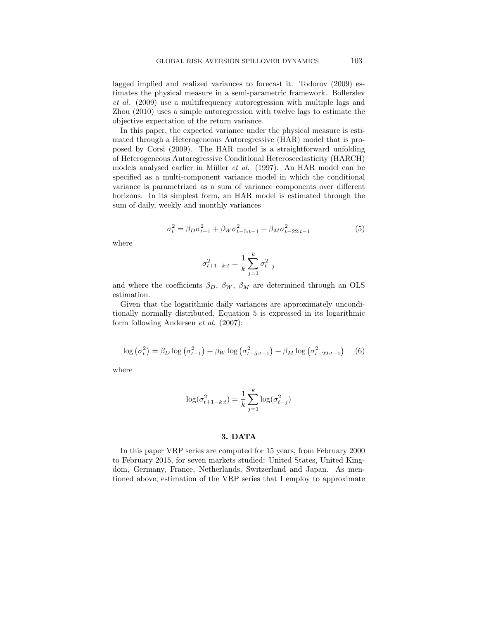lagged implied and realized variances to forecast it. Todorov (2009) estimates the physical measure in a semi-parametric framework. Bollerslev et al. (2009) use a multifrequency autoregression with multiple lags and Zhou (2010) uses a simple autoregression with twelve lags to estimate the objective expectation of the return variance.

In this paper, the expected variance under the physical measure is estimated through a Heterogeneous Autoregressive (HAR) model that is proposed by Corsi (2009). The HAR model is a straightforward unfolding of Heterogeneous Autoregressive Conditional Heteroscedasticity (HARCH) models analysed earlier in Müller  $et \ al.$  (1997). An HAR model can be specified as a multi-component variance model in which the conditional variance is parametrized as a sum of variance components over different horizons. In its simplest form, an HAR model is estimated through the sum of daily, weekly and monthly variances

$$
\sigma_t^2 = \beta_D \sigma_{t-1}^2 + \beta_W \sigma_{t-5:t-1}^2 + \beta_M \sigma_{t-22:t-1}^2 \tag{5}
$$

where

$$
\sigma_{t+1-k:t}^{2} = \frac{1}{k} \sum_{j=1}^{k} \sigma_{t-j}^{2}
$$

and where the coefficients  $\beta_D$ ,  $\beta_W$ ,  $\beta_M$  are determined through an OLS estimation.

Given that the logarithmic daily variances are approximately unconditionally normally distributed, Equation 5 is expressed in its logarithmic form following Andersen et al. (2007):

$$
\log\left(\sigma_t^2\right) = \beta_D \log\left(\sigma_{t-1}^2\right) + \beta_W \log\left(\sigma_{t-5:t-1}^2\right) + \beta_M \log\left(\sigma_{t-22:t-1}^2\right) \tag{6}
$$

where

$$
\log(\sigma_{t+1-k:t}^2) = \frac{1}{k} \sum_{j=1}^k \log(\sigma_{t-j}^2)
$$

### 3. DATA

In this paper VRP series are computed for 15 years, from February 2000 to February 2015, for seven markets studied: United States, United Kingdom, Germany, France, Netherlands, Switzerland and Japan. As mentioned above, estimation of the VRP series that I employ to approximate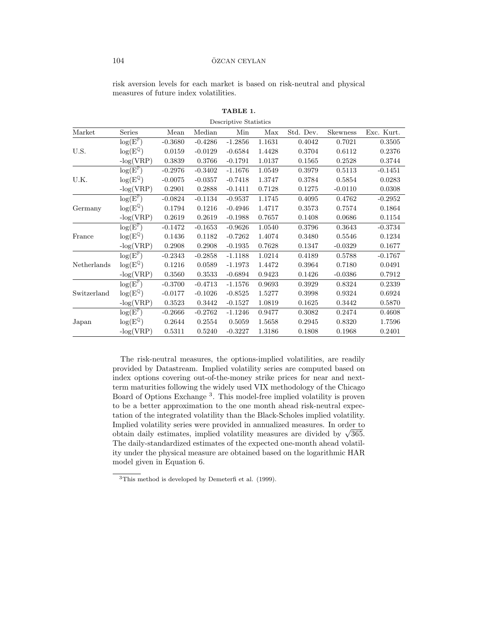## 104 ÖZCAN CEYLAN

risk aversion levels for each market is based on risk-neutral and physical measures of future index volatilities.

| Descriptive Statistics |                                   |           |           |           |        |           |           |            |
|------------------------|-----------------------------------|-----------|-----------|-----------|--------|-----------|-----------|------------|
| Market                 | Series                            | Mean      | Median    | Min       | Max    | Std. Dev. | Skewness  | Exc. Kurt. |
|                        | $log(E^{\mathbb{P}})$             | $-0.3680$ | $-0.4286$ | $-1.2856$ | 1.1631 | 0.4042    | 0.7021    | 0.3505     |
| U.S.                   | $\log(E^{\mathbb{Q}})$            | 0.0159    | $-0.0129$ | $-0.6584$ | 1.4428 | 0.3704    | 0.6112    | 0.2376     |
|                        | $-log(VRP)$                       | 0.3839    | 0.3766    | $-0.1791$ | 1.0137 | 0.1565    | 0.2528    | 0.3744     |
|                        | $\log(E^{\mathbb{P}})$            | $-0.2976$ | $-0.3402$ | $-1.1676$ | 1.0549 | 0.3979    | 0.5113    | $-0.1451$  |
| U.K.                   | $\log(E^{\mathbb{Q}})$            | $-0.0075$ | $-0.0357$ | $-0.7418$ | 1.3747 | 0.3784    | 0.5854    | 0.0283     |
|                        | $-log(VRP)$                       | 0.2901    | 0.2888    | $-0.1411$ | 0.7128 | 0.1275    | $-0.0110$ | 0.0308     |
|                        | $\log(\overline{E}^{\mathbb{P}})$ | $-0.0824$ | $-0.1134$ | $-0.9537$ | 1.1745 | 0.4095    | 0.4762    | $-0.2952$  |
| Germany                | $\log(E^{\mathbb{Q}})$            | 0.1794    | 0.1216    | $-0.4946$ | 1.4717 | 0.3573    | 0.7574    | 0.1864     |
|                        | $-log(VRP)$                       | 0.2619    | 0.2619    | $-0.1988$ | 0.7657 | 0.1408    | 0.0686    | 0.1154     |
| France                 | $\log(E^{\mathbb{P}})$            | $-0.1472$ | $-0.1653$ | $-0.9626$ | 1.0540 | 0.3796    | 0.3643    | $-0.3734$  |
|                        | $log(E^{\mathbb{Q}})$             | 0.1436    | 0.1182    | $-0.7262$ | 1.4074 | 0.3480    | 0.5546    | 0.1234     |
|                        | $-log(VRP)$                       | 0.2908    | 0.2908    | $-0.1935$ | 0.7628 | 0.1347    | $-0.0329$ | 0.1677     |
|                        | $log(E^{\mathbb{P}})$             | $-0.2343$ | $-0.2858$ | $-1.1188$ | 1.0214 | 0.4189    | 0.5788    | $-0.1767$  |
| Netherlands            | $log(E^{\mathbb{Q}})$             | 0.1216    | 0.0589    | $-1.1973$ | 1.4472 | 0.3964    | 0.7180    | 0.0491     |
|                        | $-log(VRP)$                       | 0.3560    | 0.3533    | $-0.6894$ | 0.9423 | 0.1426    | $-0.0386$ | 0.7912     |
|                        | $\log(E^{\mathbb{P}})$            | $-0.3700$ | $-0.4713$ | $-1.1576$ | 0.9693 | 0.3929    | 0.8324    | 0.2339     |
| Switzerland            | $\log(E^{\mathbb{Q}})$            | $-0.0177$ | $-0.1026$ | $-0.8525$ | 1.5277 | 0.3998    | 0.9324    | 0.6924     |
|                        | $-log(VRP)$                       | 0.3523    | 0.3442    | $-0.1527$ | 1.0819 | 0.1625    | 0.3442    | 0.5870     |
|                        | $\log(E^{\mathbb{P}})$            | $-0.2666$ | $-0.2762$ | $-1.1246$ | 0.9477 | 0.3082    | 0.2474    | 0.4608     |
| Japan                  | $log(E^{\mathbb{Q}})$             | 0.2644    | 0.2554    | 0.5059    | 1.5658 | 0.2945    | 0.8320    | 1.7596     |
|                        | $-log(VRP)$                       | 0.5311    | 0.5240    | $-0.3227$ | 1.3186 | 0.1808    | 0.1968    | 0.2401     |

TABLE 1.

The risk-neutral measures, the options-implied volatilities, are readily provided by Datastream. Implied volatility series are computed based on index options covering out-of-the-money strike prices for near and nextterm maturities following the widely used VIX methodology of the Chicago Board of Options Exchange<sup>3</sup>. This model-free implied volatility is proven to be a better approximation to the one month ahead risk-neutral expectation of the integrated volatility than the Black-Scholes implied volatility. Implied volatility series were provided in annualized measures. In order to mplied volatility series were provided in annualized measures. In order to obtain daily estimates, implied volatility measures are divided by  $\sqrt{365}$ . The daily-standardized estimates of the expected one-month ahead volatility under the physical measure are obtained based on the logarithmic HAR model given in Equation 6.

<sup>3</sup>This method is developed by Demeterfi et al. (1999).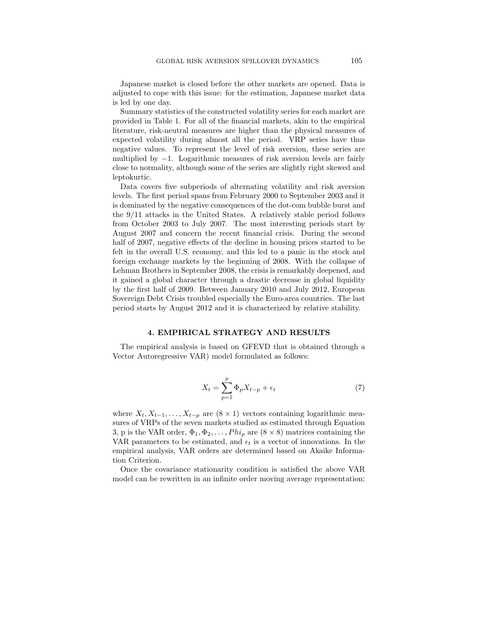Japanese market is closed before the other markets are opened. Data is adjusted to cope with this issue: for the estimation, Japanese market data is led by one day.

Summary statistics of the constructed volatility series for each market are provided in Table 1. For all of the financial markets, akin to the empirical literature, risk-neutral measures are higher than the physical measures of expected volatility during almost all the period. VRP series have thus negative values. To represent the level of risk aversion, these series are multiplied by  $-1$ . Logarithmic measures of risk aversion levels are fairly close to normality, although some of the series are slightly right skewed and leptokurtic.

Data covers five subperiods of alternating volatility and risk aversion levels. The first period spans from February 2000 to September 2003 and it is dominated by the negative consequences of the dot-com bubble burst and the 9/11 attacks in the United States. A relatively stable period follows from October 2003 to July 2007. The most interesting periods start by August 2007 and concern the recent financial crisis. During the second half of 2007, negative effects of the decline in housing prices started to be felt in the overall U.S. economy, and this led to a panic in the stock and foreign exchange markets by the beginning of 2008. With the collapse of Lehman Brothers in September 2008, the crisis is remarkably deepened, and it gained a global character through a drastic decrease in global liquidity by the first half of 2009. Between January 2010 and July 2012, European Sovereign Debt Crisis troubled especially the Euro-area countries. The last period starts by August 2012 and it is characterized by relative stability.

#### 4. EMPIRICAL STRATEGY AND RESULTS

The empirical analysis is based on GFEVD that is obtained through a Vector Autoregressive VAR) model formulated as follows:

$$
X_t = \sum_{p=1}^p \Phi_p X_{t-p} + \epsilon_t \tag{7}
$$

where  $X_t, X_{t-1}, \ldots, X_{t-p}$  are  $(8 \times 1)$  vectors containing logarithmic measures of VRPs of the seven markets studied as estimated through Equation 3, p is the VAR order,  $\Phi_1, \Phi_2, \ldots, Phi_p$  are  $(8 \times 8)$  matrices containing the VAR parameters to be estimated, and  $\epsilon_t$  is a vector of innovations. In the empirical analysis, VAR orders are determined based on Akaike Information Criterion.

Once the covariance stationarity condition is satisfied the above VAR model can be rewritten in an infinite order moving average representation: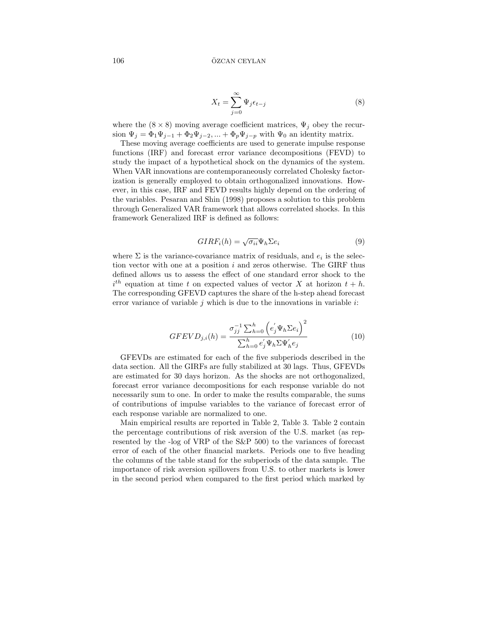$$
X_t = \sum_{j=0}^{\infty} \Psi_j \epsilon_{t-j} \tag{8}
$$

where the  $(8 \times 8)$  moving average coefficient matrices,  $\Psi_j$  obey the recursion  $\Psi_j = \Phi_1 \Psi_{j-1} + \Phi_2 \Psi_{j-2}, \dots + \Phi_p \Psi_{j-p}$  with  $\Psi_0$  an identity matrix.

These moving average coefficients are used to generate impulse response functions (IRF) and forecast error variance decompositions (FEVD) to study the impact of a hypothetical shock on the dynamics of the system. When VAR innovations are contemporaneously correlated Cholesky factorization is generally employed to obtain orthogonalized innovations. However, in this case, IRF and FEVD results highly depend on the ordering of the variables. Pesaran and Shin (1998) proposes a solution to this problem through Generalized VAR framework that allows correlated shocks. In this framework Generalized IRF is defined as follows:

$$
GIRF_i(h) = \sqrt{\sigma_{ii}} \Psi_h \Sigma e_i
$$
\n(9)

where  $\Sigma$  is the variance-covariance matrix of residuals, and  $e_i$  is the selection vector with one at a position  $i$  and zeros otherwise. The GIRF thus defined allows us to assess the effect of one standard error shock to the  $i^{th}$  equation at time t on expected values of vector X at horizon  $t + h$ . The corresponding GFEVD captures the share of the h-step ahead forecast error variance of variable j which is due to the innovations in variable  $i$ :

$$
GFEVD_{j,i}(h) = \frac{\sigma_{jj}^{-1} \sum_{h=0}^{h} (e_j' \Psi_h \Sigma e_i)^2}{\sum_{h=0}^{h} e_j' \Psi_h \Sigma \Psi_h' e_j}
$$
(10)

GFEVDs are estimated for each of the five subperiods described in the data section. All the GIRFs are fully stabilized at 30 lags. Thus, GFEVDs are estimated for 30 days horizon. As the shocks are not orthogonalized, forecast error variance decompositions for each response variable do not necessarily sum to one. In order to make the results comparable, the sums of contributions of impulse variables to the variance of forecast error of each response variable are normalized to one.

Main empirical results are reported in Table 2, Table 3. Table 2 contain the percentage contributions of risk aversion of the U.S. market (as represented by the -log of VRP of the S&P 500) to the variances of forecast error of each of the other financial markets. Periods one to five heading the columns of the table stand for the subperiods of the data sample. The importance of risk aversion spillovers from U.S. to other markets is lower in the second period when compared to the first period which marked by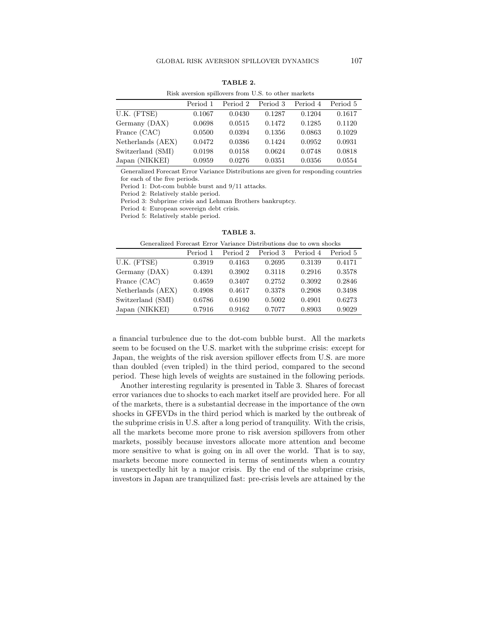| Risk aversion spillovers from U.S. to other markets |          |          |          |          |          |  |  |
|-----------------------------------------------------|----------|----------|----------|----------|----------|--|--|
|                                                     | Period 1 | Period 2 | Period 3 | Period 4 | Period 5 |  |  |
| U.K. (FTSE)                                         | 0.1067   | 0.0430   | 0.1287   | 0.1204   | 0.1617   |  |  |
| Germany (DAX)                                       | 0.0698   | 0.0515   | 0.1472   | 0.1285   | 0.1120   |  |  |
| France (CAC)                                        | 0.0500   | 0.0394   | 0.1356   | 0.0863   | 0.1029   |  |  |
| Netherlands (AEX)                                   | 0.0472   | 0.0386   | 0.1424   | 0.0952   | 0.0931   |  |  |
| Switzerland (SMI)                                   | 0.0198   | 0.0158   | 0.0624   | 0.0748   | 0.0818   |  |  |
| Japan (NIKKEI)                                      | 0.0959   | 0.0276   | 0.0351   | 0.0356   | 0.0554   |  |  |

TABLE 2.

Generalized Forecast Error Variance Distributions are given for responding countries for each of the five periods.

Period 1: Dot-com bubble burst and 9/11 attacks.

Period 2: Relatively stable period.

Period 3: Subprime crisis and Lehman Brothers bankruptcy.

Period 4: European sovereign debt crisis.

Period 5: Relatively stable period.

| Generalized Forecast Error Variance Distributions due to own shocks |          |          |          |          |          |  |
|---------------------------------------------------------------------|----------|----------|----------|----------|----------|--|
|                                                                     | Period 1 | Period 2 | Period 3 | Period 4 | Period 5 |  |
| U.K. (FTSE)                                                         | 0.3919   | 0.4163   | 0.2695   | 0.3139   | 0.4171   |  |
| Germany (DAX)                                                       | 0.4391   | 0.3902   | 0.3118   | 0.2916   | 0.3578   |  |
| France (CAC)                                                        | 0.4659   | 0.3407   | 0.2752   | 0.3092   | 0.2846   |  |
| Netherlands (AEX)                                                   | 0.4908   | 0.4617   | 0.3378   | 0.2908   | 0.3498   |  |
| Switzerland (SMI)                                                   | 0.6786   | 0.6190   | 0.5002   | 0.4901   | 0.6273   |  |
| Japan (NIKKEI)                                                      | 0.7916   | 0.9162   | 0.7077   | 0.8903   | 0.9029   |  |

TABLE 3.

a financial turbulence due to the dot-com bubble burst. All the markets seem to be focused on the U.S. market with the subprime crisis: except for Japan, the weights of the risk aversion spillover effects from U.S. are more than doubled (even tripled) in the third period, compared to the second period. These high levels of weights are sustained in the following periods.

Another interesting regularity is presented in Table 3. Shares of forecast error variances due to shocks to each market itself are provided here. For all of the markets, there is a substantial decrease in the importance of the own shocks in GFEVDs in the third period which is marked by the outbreak of the subprime crisis in U.S. after a long period of tranquility. With the crisis, all the markets become more prone to risk aversion spillovers from other markets, possibly because investors allocate more attention and become more sensitive to what is going on in all over the world. That is to say, markets become more connected in terms of sentiments when a country is unexpectedly hit by a major crisis. By the end of the subprime crisis, investors in Japan are tranquilized fast: pre-crisis levels are attained by the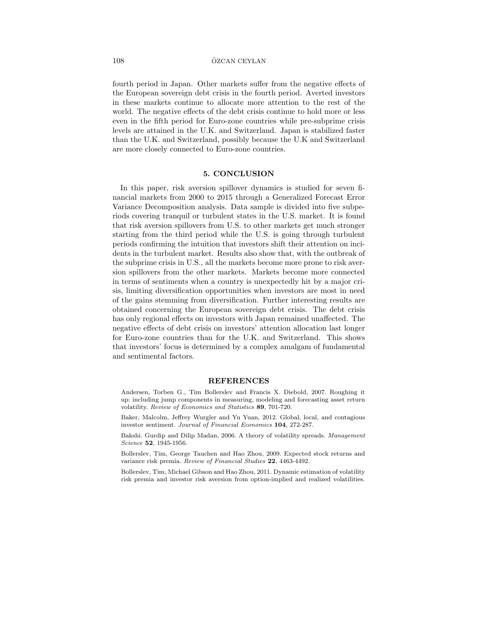#### 108 ÖZCAN CEYLAN

fourth period in Japan. Other markets suffer from the negative effects of the European sovereign debt crisis in the fourth period. Averted investors in these markets continue to allocate more attention to the rest of the world. The negative effects of the debt crisis continue to hold more or less even in the fifth period for Euro-zone countries while pre-subprime crisis levels are attained in the U.K. and Switzerland. Japan is stabilized faster than the U.K. and Switzerland, possibly because the U.K and Switzerland are more closely connected to Euro-zone countries.

#### 5. CONCLUSION

In this paper, risk aversion spillover dynamics is studied for seven financial markets from 2000 to 2015 through a Generalized Forecast Error Variance Decomposition analysis. Data sample is divided into five subperiods covering tranquil or turbulent states in the U.S. market. It is found that risk aversion spillovers from U.S. to other markets get much stronger starting from the third period while the U.S. is going through turbulent periods confirming the intuition that investors shift their attention on incidents in the turbulent market. Results also show that, with the outbreak of the subprime crisis in U.S., all the markets become more prone to risk aversion spillovers from the other markets. Markets become more connected in terms of sentiments when a country is unexpectedly hit by a major crisis, limiting diversification opportunities when investors are most in need of the gains stemming from diversification. Further interesting results are obtained concerning the European sovereign debt crisis. The debt crisis has only regional effects on investors with Japan remained unaffected. The negative effects of debt crisis on investors' attention allocation last longer for Euro-zone countries than for the U.K. and Switzerland. This shows that investors' focus is determined by a complex amalgam of fundamental and sentimental factors.

#### REFERENCES

Andersen, Torben G., Tim Bollerslev and Francis X. Diebold, 2007. Roughing it up: including jump components in measuring, modeling and forecasting asset return volatility. Review of Economics and Statistics 89, 701-720.

Baker, Malcolm, Jeffrey Wurgler and Yu Yuan, 2012. Global, local, and contagious investor sentiment. Journal of Financial Economics 104, 272-287.

Bakshi. Gurdip and Dilip Madan, 2006. A theory of volatility spreads. Management Science 52, 1945-1956.

Bollerslev, Tim, George Tauchen and Hao Zhou, 2009. Expected stock returns and variance risk premia. Review of Financial Studies 22, 4463-4492.

Bollerslev, Tim, Michael Gibson and Hao Zhou, 2011. Dynamic estimation of volatility risk premia and investor risk aversion from option-implied and realized volatilities.